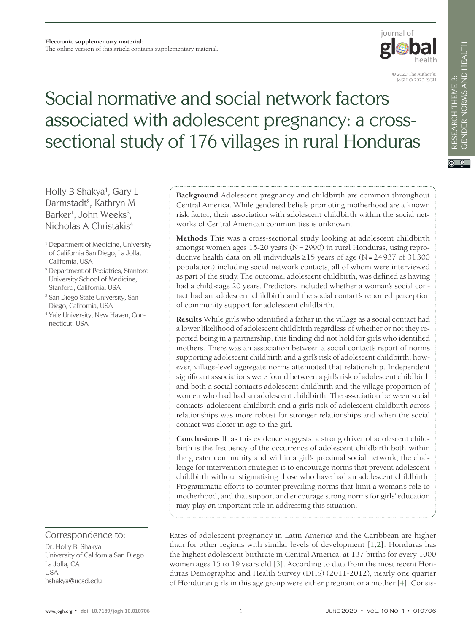

#### © 2020 The Author(s) JoGH © 2020 ISGH

# Social normative and social network factors associated with adolescent pregnancy: a crosssectional study of 176 villages in rural Honduras

Holly B Shakya<sup>1</sup>, Gary L Darmstadt<sup>2</sup>, Kathryn M Barker<sup>1</sup>, John Weeks<sup>3</sup>, Nicholas A Christakis4

- <sup>1</sup> Department of Medicine, University of California San Diego, La Jolla, California, USA
- <sup>2</sup> Department of Pediatrics, Stanford University School of Medicine, Stanford, California, USA
- <sup>3</sup> San Diego State University, San Diego, California, USA
- <sup>4</sup> Yale University, New Haven, Connecticut, USA

Correspondence to:

Dr. Holly B. Shakya University of California San Diego La Jolla, CA **USA** hshakya@ucsd.edu

**Background** Adolescent pregnancy and childbirth are common throughout Central America. While gendered beliefs promoting motherhood are a known risk factor, their association with adolescent childbirth within the social networks of Central American communities is unknown.

**Methods** This was a cross-sectional study looking at adolescent childbirth amongst women ages 15-20 years (N=2990) in rural Honduras, using reproductive health data on all individuals ≥15 years of age (N=24937 of 31300 population) including social network contacts, all of whom were interviewed as part of the study. The outcome, adolescent childbirth, was defined as having had a child<age 20 years. Predictors included whether a woman's social contact had an adolescent childbirth and the social contact's reported perception of community support for adolescent childbirth.

**Results** While girls who identified a father in the village as a social contact had a lower likelihood of adolescent childbirth regardless of whether or not they reported being in a partnership, this finding did not hold for girls who identified mothers. There was an association between a social contact's report of norms supporting adolescent childbirth and a girl's risk of adolescent childbirth; however, village-level aggregate norms attenuated that relationship. Independent significant associations were found between a girl's risk of adolescent childbirth and both a social contact's adolescent childbirth and the village proportion of women who had had an adolescent childbirth. The association between social contacts' adolescent childbirth and a girl's risk of adolescent childbirth across relationships was more robust for stronger relationships and when the social contact was closer in age to the girl.

**Conclusions** If, as this evidence suggests, a strong driver of adolescent childbirth is the frequency of the occurrence of adolescent childbirth both within the greater community and within a girl's proximal social network, the challenge for intervention strategies is to encourage norms that prevent adolescent childbirth without stigmatising those who have had an adolescent childbirth. Programmatic efforts to counter prevailing norms that limit a woman's role to motherhood, and that support and encourage strong norms for girls' education may play an important role in addressing this situation.

Rates of adolescent pregnancy in Latin America and the Caribbean are higher than for other regions with similar levels of development [\[1,](#page-11-0)[2](#page-11-1)]. Honduras has the highest adolescent birthrate in Central America, at 137 births for every 1000 women ages 15 to 19 years old [[3](#page-11-2)]. According to data from the most recent Honduras Demographic and Health Survey (DHS) (2011-2012), nearly one quarter of Honduran girls in this age group were either pregnant or a mother [[4](#page-11-3)]. Consis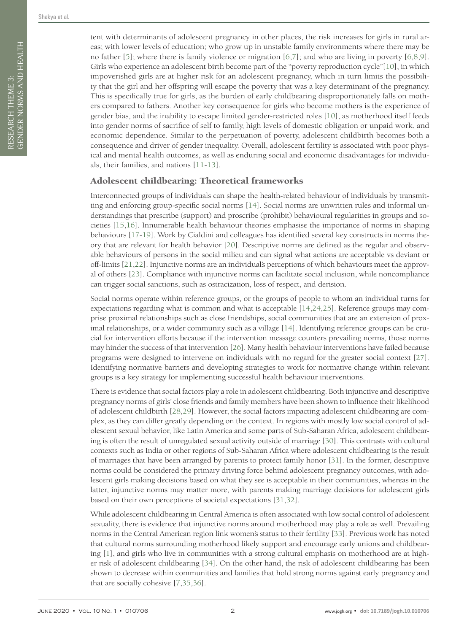tent with determinants of adolescent pregnancy in other places, the risk increases for girls in rural areas; with lower levels of education; who grow up in unstable family environments where there may be no father [\[5\]](#page-11-4); where there is family violence or migration [\[6,](#page-11-5)[7](#page-11-6)]; and who are living in poverty [[6](#page-11-5),[8](#page-11-7),[9](#page-11-8)]. Girls who experience an adolescent birth become part of the "poverty reproduction cycle"[\[10](#page-11-9)], in which impoverished girls are at higher risk for an adolescent pregnancy, which in turn limits the possibility that the girl and her offspring will escape the poverty that was a key determinant of the pregnancy. This is specifically true for girls, as the burden of early childbearing disproportionately falls on mothers compared to fathers. Another key consequence for girls who become mothers is the experience of gender bias, and the inability to escape limited gender-restricted roles [[10\]](#page-11-9), as motherhood itself feeds into gender norms of sacrifice of self to family, high levels of domestic obligation or unpaid work, and economic dependence. Similar to the perpetuation of poverty, adolescent childbirth becomes both a consequence and driver of gender inequality. Overall, adolescent fertility is associated with poor physical and mental health outcomes, as well as enduring social and economic disadvantages for individuals, their families, and nations [\[11](#page-11-10)-[13](#page-11-11)].

### Adolescent childbearing: Theoretical frameworks

Interconnected groups of individuals can shape the health-related behaviour of individuals by transmitting and enforcing group-specific social norms [\[14](#page-11-12)]. Social norms are unwritten rules and informal understandings that prescribe (support) and proscribe (prohibit) behavioural regularities in groups and societies [\[15](#page-11-13)[,16](#page-11-14)]. Innumerable health behaviour theories emphasise the importance of norms in shaping behaviours [[17](#page-11-15)[-19](#page-11-16)]. Work by Cialdini and colleagues has identified several key constructs in norms theory that are relevant for health behavior [\[20](#page-12-0)]. Descriptive norms are defined as the regular and observable behaviours of persons in the social milieu and can signal what actions are acceptable vs deviant or off-limits [[21](#page-12-1)[,22\]](#page-12-2). Injunctive norms are an individual's perceptions of which behaviours meet the approval of others [[23](#page-12-3)]. Compliance with injunctive norms can facilitate social inclusion, while noncompliance can trigger social sanctions, such as ostracization, loss of respect, and derision.

Social norms operate within reference groups, or the groups of people to whom an individual turns for expectations regarding what is common and what is acceptable [[14](#page-11-12),[24](#page-12-4)[,25\]](#page-12-5). Reference groups may comprise proximal relationships such as close friendships, social communities that are an extension of proximal relationships, or a wider community such as a village [[14](#page-11-12)]. Identifying reference groups can be crucial for intervention efforts because if the intervention message counters prevailing norms, those norms may hinder the success of that intervention [[26](#page-12-6)]. Many health behaviour interventions have failed because programs were designed to intervene on individuals with no regard for the greater social context [[27](#page-12-7)]. Identifying normative barriers and developing strategies to work for normative change within relevant groups is a key strategy for implementing successful health behaviour interventions.

There is evidence that social factors play a role in adolescent childbearing. Both injunctive and descriptive pregnancy norms of girls' close friends and family members have been shown to influence their likelihood of adolescent childbirth [\[28,](#page-12-8)[29\]](#page-12-9). However, the social factors impacting adolescent childbearing are complex, as they can differ greatly depending on the context. In regions with mostly low social control of adolescent sexual behavior, like Latin America and some parts of Sub-Saharan Africa, adolescent childbearing is often the result of unregulated sexual activity outside of marriage [[30](#page-12-10)]. This contrasts with cultural contexts such as India or other regions of Sub-Saharan Africa where adolescent childbearing is the result of marriages that have been arranged by parents to protect family honor [[31](#page-12-11)]. In the former, descriptive norms could be considered the primary driving force behind adolescent pregnancy outcomes, with adolescent girls making decisions based on what they see is acceptable in their communities, whereas in the latter, injunctive norms may matter more, with parents making marriage decisions for adolescent girls based on their own perceptions of societal expectations [[31](#page-12-11),[32](#page-12-12)].

While adolescent childbearing in Central America is often associated with low social control of adolescent sexuality, there is evidence that injunctive norms around motherhood may play a role as well. Prevailing norms in the Central American region link women's status to their fertility [[33](#page-12-13)]. Previous work has noted that cultural norms surrounding motherhood likely support and encourage early unions and childbearing [[1\]](#page-11-0), and girls who live in communities with a strong cultural emphasis on motherhood are at higher risk of adolescent childbearing [[34](#page-12-14)]. On the other hand, the risk of adolescent childbearing has been shown to decrease within communities and families that hold strong norms against early pregnancy and that are socially cohesive [[7](#page-11-6),[35](#page-12-15),[36](#page-12-16)].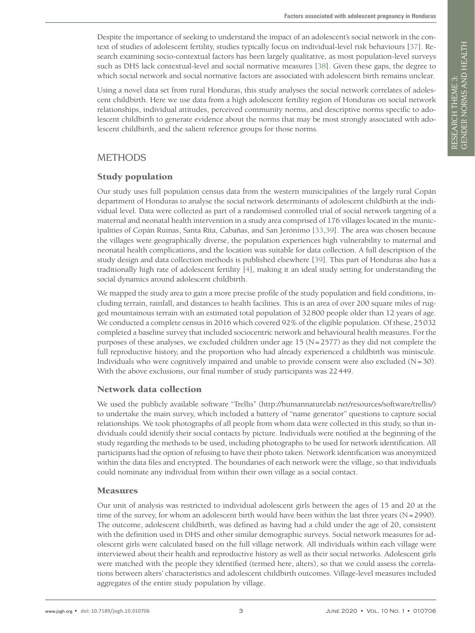Despite the importance of seeking to understand the impact of an adolescent's social network in the context of studies of adolescent fertility, studies typically focus on individual-level risk behaviours [[37](#page-12-17)]. Research examining socio-contextual factors has been largely qualitative, as most population-level surveys such as DHS lack contextual-level and social normative measures [[38](#page-12-18)]. Given these gaps, the degree to which social network and social normative factors are associated with adolescent birth remains unclear.

Using a novel data set from rural Honduras, this study analyses the social network correlates of adolescent childbirth. Here we use data from a high adolescent fertility region of Honduras on social network relationships, individual attitudes, perceived community norms, and descriptive norms specific to adolescent childbirth to generate evidence about the norms that may be most strongly associated with adolescent childbirth, and the salient reference groups for those norms.

# **METHODS**

### Study population

Our study uses full population census data from the western municipalities of the largely rural Copán department of Honduras to analyse the social network determinants of adolescent childbirth at the individual level. Data were collected as part of a randomised controlled trial of social network targeting of a maternal and neonatal health intervention in a study area comprised of 176 villages located in the municipalities of Copán Ruinas, Santa Rita, Cabañas, and San Jerónimo [[33](#page-12-13),[39](#page-12-19)]. The area was chosen because the villages were geographically diverse, the population experiences high vulnerability to maternal and neonatal health complications, and the location was suitable for data collection. A full description of the study design and data collection methods is published elsewhere [[39](#page-12-19)]. This part of Honduras also has a traditionally high rate of adolescent fertility [[4](#page-11-3)], making it an ideal study setting for understanding the social dynamics around adolescent childbirth.

We mapped the study area to gain a more precise profile of the study population and field conditions, including terrain, rainfall, and distances to health facilities. This is an area of over 200 square miles of rugged mountainous terrain with an estimated total population of 32800 people older than 12 years of age. We conducted a complete census in 2016 which covered 92% of the eligible population. Of these, 25032 completed a baseline survey that included sociocentric network and behavioural health measures. For the purposes of these analyses, we excluded children under age  $15 (N=2577)$  as they did not complete the full reproductive history, and the proportion who had already experienced a childbirth was miniscule. Individuals who were cognitively impaired and unable to provide consent were also excluded  $(N=30)$ . With the above exclusions, our final number of study participants was 22449.

#### Network data collection

We used the publicly available software "Trellis" (http://humannaturelab.net/resources/software/trellis/) to undertake the main survey, which included a battery of "name generator" questions to capture social relationships. We took photographs of all people from whom data were collected in this study, so that individuals could identify their social contacts by picture. Individuals were notified at the beginning of the study regarding the methods to be used, including photographs to be used for network identification. All participants had the option of refusing to have their photo taken. Network identification was anonymized within the data files and encrypted. The boundaries of each network were the village, so that individuals could nominate any individual from within their own village as a social contact.

#### Measures

Our unit of analysis was restricted to individual adolescent girls between the ages of 15 and 20 at the time of the survey, for whom an adolescent birth would have been within the last three years (N=2990). The outcome, adolescent childbirth, was defined as having had a child under the age of 20, consistent with the definition used in DHS and other similar demographic surveys. Social network measures for adolescent girls were calculated based on the full village network. All individuals within each village were interviewed about their health and reproductive history as well as their social networks. Adolescent girls were matched with the people they identified (termed here, alters), so that we could assess the correlations between alters' characteristics and adolescent childbirth outcomes. Village-level measures included aggregates of the entire study population by village.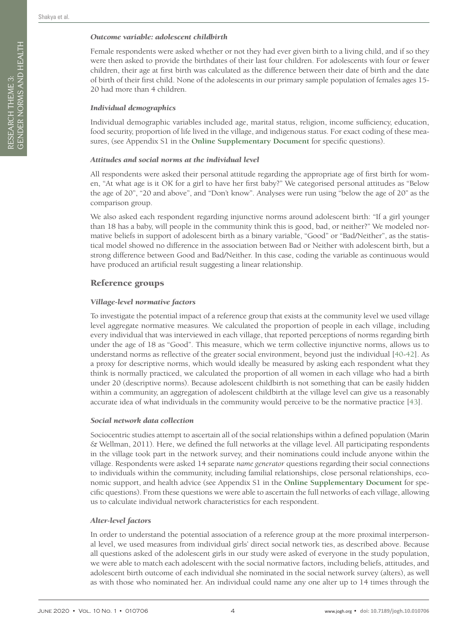#### *Outcome variable: adolescent childbirth*

Female respondents were asked whether or not they had ever given birth to a living child, and if so they were then asked to provide the birthdates of their last four children. For adolescents with four or fewer children, their age at first birth was calculated as the difference between their date of birth and the date of birth of their first child. None of the adolescents in our primary sample population of females ages 15- 20 had more than 4 children.

#### *Individual demographics*

Individual demographic variables included age, marital status, religion, income sufficiency, education, food security, proportion of life lived in the village, and indigenous status. For exact coding of these measures, (see Appendix S1 in the **[Online Supplementary Document](#page-11-17)** for specific questions).

#### *Attitudes and social norms at the individual level*

All respondents were asked their personal attitude regarding the appropriate age of first birth for women, "At what age is it OK for a girl to have her first baby?" We categorised personal attitudes as "Below the age of 20", "20 and above", and "Don't know". Analyses were run using "below the age of 20" as the comparison group.

We also asked each respondent regarding injunctive norms around adolescent birth: "If a girl younger than 18 has a baby, will people in the community think this is good, bad, or neither?" We modeled normative beliefs in support of adolescent birth as a binary variable, "Good" or "Bad/Neither", as the statistical model showed no difference in the association between Bad or Neither with adolescent birth, but a strong difference between Good and Bad/Neither. In this case, coding the variable as continuous would have produced an artificial result suggesting a linear relationship.

# Reference groups

#### *Village-level normative factors*

To investigate the potential impact of a reference group that exists at the community level we used village level aggregate normative measures. We calculated the proportion of people in each village, including every individual that was interviewed in each village, that reported perceptions of norms regarding birth under the age of 18 as "Good". This measure, which we term collective injunctive norms, allows us to understand norms as reflective of the greater social environment, beyond just the individual [\[40](#page-12-20)-[42](#page-12-21)]. As a proxy for descriptive norms, which would ideally be measured by asking each respondent what they think is normally practiced, we calculated the proportion of all women in each village who had a birth under 20 (descriptive norms). Because adolescent childbirth is not something that can be easily hidden within a community, an aggregation of adolescent childbirth at the village level can give us a reasonably accurate idea of what individuals in the community would perceive to be the normative practice [[43](#page-12-22)].

#### *Social network data collection*

Sociocentric studies attempt to ascertain all of the social relationships within a defined population (Marin & Wellman, 2011). Here, we defined the full networks at the village level. All participating respondents in the village took part in the network survey, and their nominations could include anyone within the village. Respondents were asked 14 separate *name generator* questions regarding their social connections to individuals within the community, including familial relationships, close personal relationships, economic support, and health advice (see Appendix S1 in the **[Online Supplementary Document](#page-11-17)** for specific questions). From these questions we were able to ascertain the full networks of each village, allowing us to calculate individual network characteristics for each respondent.

#### *Alter-level factors*

In order to understand the potential association of a reference group at the more proximal interpersonal level, we used measures from individual girls' direct social network ties, as described above. Because all questions asked of the adolescent girls in our study were asked of everyone in the study population, we were able to match each adolescent with the social normative factors, including beliefs, attitudes, and adolescent birth outcome of each individual she nominated in the social network survey (alters), as well as with those who nominated her. An individual could name any one alter up to 14 times through the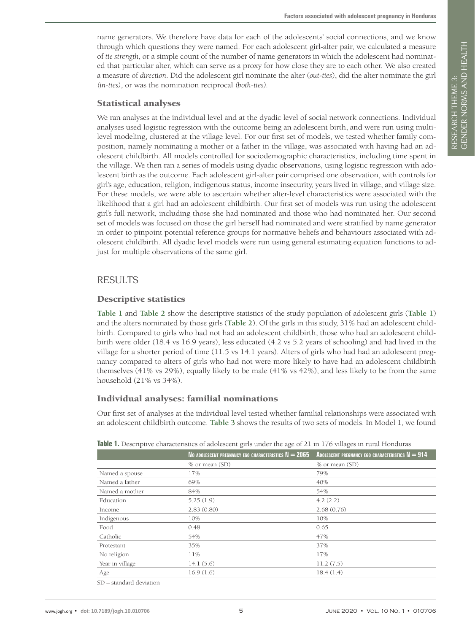name generators. We therefore have data for each of the adolescents' social connections, and we know through which questions they were named. For each adolescent girl-alter pair, we calculated a measure of *tie strength*, or a simple count of the number of name generators in which the adolescent had nominated that particular alter, which can serve as a proxy for how close they are to each other. We also created a measure of *direction*. Did the adolescent girl nominate the alter (*out-ties*), did the alter nominate the girl *(in-ties)*, or was the nomination reciprocal *(both-ties).*

#### Statistical analyses

We ran analyses at the individual level and at the dyadic level of social network connections. Individual analyses used logistic regression with the outcome being an adolescent birth, and were run using multilevel modeling, clustered at the village level. For our first set of models, we tested whether family composition, namely nominating a mother or a father in the village, was associated with having had an adolescent childbirth. All models controlled for sociodemographic characteristics, including time spent in the village. We then ran a series of models using dyadic observations, using logistic regression with adolescent birth as the outcome. Each adolescent girl-alter pair comprised one observation, with controls for girl's age, education, religion, indigenous status, income insecurity, years lived in village, and village size. For these models, we were able to ascertain whether alter-level characteristics were associated with the likelihood that a girl had an adolescent childbirth. Our first set of models was run using the adolescent girl's full network, including those she had nominated and those who had nominated her. Our second set of models was focused on those the girl herself had nominated and were stratified by name generator in order to pinpoint potential reference groups for normative beliefs and behaviours associated with adolescent childbirth. All dyadic level models were run using general estimating equation functions to adjust for multiple observations of the same girl.

# RESULTS

### Descriptive statistics

**[Table 1](#page-4-0)** and **[Table 2](#page-5-0)** show the descriptive statistics of the study population of adolescent girls (**[Table 1](#page-4-0)**) and the alters nominated by those girls (**[Table 2](#page-5-0)**). Of the girls in this study, 31% had an adolescent childbirth. Compared to girls who had not had an adolescent childbirth, those who had an adolescent childbirth were older (18.4 vs 16.9 years), less educated (4.2 vs 5.2 years of schooling) and had lived in the village for a shorter period of time (11.5 vs 14.1 years). Alters of girls who had had an adolescent pregnancy compared to alters of girls who had not were more likely to have had an adolescent childbirth themselves (41% vs 29%), equally likely to be male (41% vs 42%), and less likely to be from the same household (21% vs 34%).

# Individual analyses: familial nominations

Our first set of analyses at the individual level tested whether familial relationships were associated with an adolescent childbirth outcome. **[Table 3](#page-5-1)** shows the results of two sets of models. In Model 1, we found

|                 | NO ADOLESCENT PREGNANCY EGO CHARACTERISTICS $N = 2065$ | ADOLESCENT PREGNANCY EGO CHARACTERISTICS $N = 914$ |
|-----------------|--------------------------------------------------------|----------------------------------------------------|
|                 | % or mean (SD)                                         | % or mean (SD)                                     |
| Named a spouse  | 17%                                                    | 79%                                                |
| Named a father  | 69%                                                    | 40%                                                |
| Named a mother  | 84%                                                    | 54%                                                |
| Education       | 5.25(1.9)                                              | 4.2(2.2)                                           |
| Income          | 2.83(0.80)                                             | 2.68(0.76)                                         |
| Indigenous      | 10%                                                    | 10%                                                |
| Food            | 0.48                                                   | 0.65                                               |
| Catholic        | 54%                                                    | 47%                                                |
| Protestant      | 35%                                                    | 37%                                                |
| No religion     | 11%                                                    | 17%                                                |
| Year in village | 14.1(5.6)                                              | 11.2(7.5)                                          |
| Age             | 16.9(1.6)                                              | 18.4(1.4)                                          |
|                 |                                                        |                                                    |

<span id="page-4-0"></span>**Table 1.** Descriptive characteristics of adolescent girls under the age of 21 in 176 villages in rural Honduras

SD – standard deviation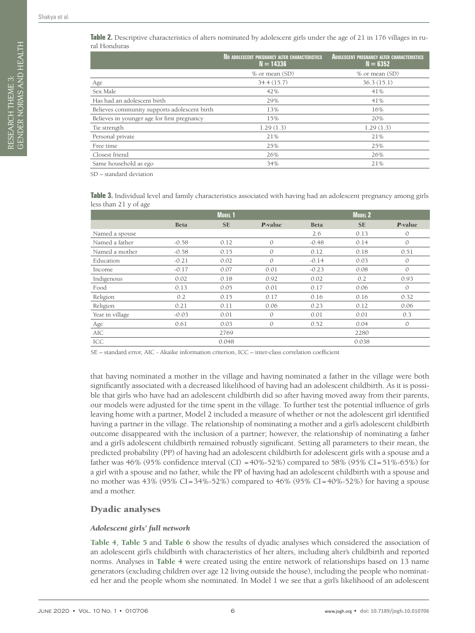|                                              | <b>NO ADOLESCENT PREGNANCY ALTER CHARACTERISTICS</b><br>$N = 14336$ | <b>ADOLESCENT PREGNANCY ALTER CHARACTERISTICS</b><br>$N = 6352$ |
|----------------------------------------------|---------------------------------------------------------------------|-----------------------------------------------------------------|
|                                              | % or mean (SD)                                                      | % or mean (SD)                                                  |
| Age                                          | 34.4(15.7)                                                          | 36.3(15.1)                                                      |
| Sex Male                                     | 42%                                                                 | 41%                                                             |
| Has had an adolescent birth                  | 29%                                                                 | 41%                                                             |
| Believes community supports adolescent birth | 13%                                                                 | 16%                                                             |
| Believes in younger age for first pregnancy  | 15%                                                                 | 20%                                                             |
| Tie strength                                 | 1.29(1.3)                                                           | 1.29(1.3)                                                       |
| Personal private                             | 21%                                                                 | 21%                                                             |
| Free time                                    | 25%                                                                 | 25%                                                             |
| Closest friend                               | 26%                                                                 | 26%                                                             |
| Same household as ego                        | 34%                                                                 | 21%                                                             |

<span id="page-5-0"></span>**Table 2.** Descriptive characteristics of alters nominated by adolescent girls under the age of 21 in 176 villages in rural Honduras

SD – standard deviation

<span id="page-5-1"></span>**Table 3.** Individual level and family characteristics associated with having had an adolescent pregnancy among girls less than 21 y of age

|                 |             | <b>MODEL 1</b> |                 | <b>MODEL 2</b> |           |                 |  |  |  |
|-----------------|-------------|----------------|-----------------|----------------|-----------|-----------------|--|--|--|
|                 | <b>Beta</b> | <b>SE</b>      | <b>P</b> -value | <b>Beta</b>    | <b>SE</b> | <b>P</b> -value |  |  |  |
| Named a spouse  |             |                |                 | 2.6            | 0.13      | $\mathcal{O}$   |  |  |  |
| Named a father  | $-0.58$     | 0.12           | $\theta$        | $-0.48$        | 0.14      | $\theta$        |  |  |  |
| Named a mother  | $-0.58$     | 0.15           | $\theta$        | 0.12           | 0.18      | 0.51            |  |  |  |
| Education       | $-0.21$     | 0.02           | $\Omega$        | $-0.14$        | 0.03      | $\mathcal{O}$   |  |  |  |
| Income          | $-0.17$     | 0.07           | 0.01            | $-0.23$        | 0.08      | $\mathcal{O}$   |  |  |  |
| Indigenous      | 0.02        | 0.18           | 0.92            | 0.02           | 0.2       | 0.93            |  |  |  |
| Food            | 0.13        | 0.05           | 0.01            | 0.17           | 0.06      | $\circ$         |  |  |  |
| Religion        | 0.2         | 0.15           | 0.17            | 0.16           | 0.16      | 0.32            |  |  |  |
| Religion        | 0.21        | 0.11           | 0.06            | 0.23           | 0.12      | 0.06            |  |  |  |
| Year in village | $-0.03$     | 0.01           | $\theta$        | 0.01           | 0.01      | 0.3             |  |  |  |
| Age             | 0.61        | 0.03           | $\mathcal{O}$   | 0.52           | 0.04      | $\circ$         |  |  |  |
| AIC             |             | 2769           |                 |                | 2280      |                 |  |  |  |
| ICC             |             | 0.048          |                 |                | 0.038     |                 |  |  |  |

SE – standard error, AIC - Akaike information criterion, ICC – inter-class correlation coefficient

that having nominated a mother in the village and having nominated a father in the village were both significantly associated with a decreased likelihood of having had an adolescent childbirth. As it is possible that girls who have had an adolescent childbirth did so after having moved away from their parents, our models were adjusted for the time spent in the village. To further test the potential influence of girls leaving home with a partner, Model 2 included a measure of whether or not the adolescent girl identified having a partner in the village. The relationship of nominating a mother and a girl's adolescent childbirth outcome disappeared with the inclusion of a partner; however, the relationship of nominating a father and a girl's adolescent childbirth remained robustly significant. Setting all parameters to their mean, the predicted probability (PP) of having had an adolescent childbirth for adolescent girls with a spouse and a father was 46% (95% confidence interval (CI) =40%-52%) compared to 58% (95% CI=51%-65%) for a girl with a spouse and no father, while the PP of having had an adolescent childbirth with a spouse and no mother was  $43\%$  (95% CI=34%-52%) compared to  $46\%$  (95% CI=40%-52%) for having a spouse and a mother.

#### Dyadic analyses

#### *Adolescent girls' full network*

**[Table 4](#page-6-0)**, **[Table 5](#page-6-1)** and **[Table 6](#page-6-2)** show the results of dyadic analyses which considered the association of an adolescent girl's childbirth with characteristics of her alters, including alter's childbirth and reported norms. Analyses in **[Table 4](#page-6-0)** were created using the entire network of relationships based on 13 name generators (excluding children over age 12 living outside the house), including the people who nominated her and the people whom she nominated. In Model 1 we see that a girl's likelihood of an adolescent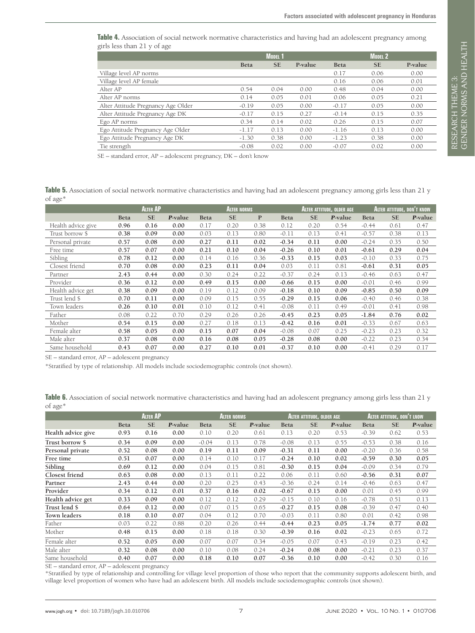<span id="page-6-0"></span>

|                             | Table 4. Association of social network normative characteristics and having had an adolescent pregnancy among |  |  |  |
|-----------------------------|---------------------------------------------------------------------------------------------------------------|--|--|--|
| girls less than 21 y of age |                                                                                                               |  |  |  |

|                                    |             | <b>MODEL 1</b> |         |             | <b>MODEL 2</b> |         |
|------------------------------------|-------------|----------------|---------|-------------|----------------|---------|
|                                    | <b>Beta</b> | <b>SE</b>      | P-value | <b>Beta</b> | <b>SE</b>      | P-value |
| Village level AP norms             |             |                |         | 0.17        | 0.06           | 0.00    |
| Village level AP female            |             |                |         | 0.16        | 0.06           | 0.01    |
| Alter AP                           | 0.54        | 0.04           | 0.00    | 0.48        | 0.04           | 0.00    |
| Alter AP norms                     | 0.14        | 0.05           | 0.01    | 0.06        | 0.05           | 0.21    |
| Alter Attitude Pregnancy Age Older | $-0.19$     | 0.05           | 0.00    | $-0.17$     | 0.05           | 0.00    |
| Alter Attitude Pregnancy Age DK    | $-0.17$     | 0.15           | 0.27    | $-0.14$     | 0.15           | 0.35    |
| Ego AP norms                       | 0.34        | 0.14           | 0.02    | 0.26        | 0.15           | 0.07    |
| Ego Attitude Pregnancy Age Older   | $-1.17$     | 0.13           | 0.00    | $-1.16$     | 0.13           | 0.00    |
| Ego Attitude Pregnancy Age DK      | $-1.30$     | 0.38           | 0.00    | $-1.23$     | 0.38           | 0.00    |
| Tie strength                       | $-0.08$     | 0.02           | 0.00    | $-0.07$     | 0.02           | 0.00    |

SE – standard error, AP – adolescent pregnancy, DK – don't know

<span id="page-6-1"></span>**Table 5.** Association of social network normative characteristics and having had an adolescent pregnancy among girls less than 21 y of age\*

|                    |             | <b>ALTER AP</b> |                |             | Alter norms |      |             |           | <b>ALTER ATTITUDE, OLDER AGE</b> | ALTER ATTITUDE, DON'T KNOW |           |                |
|--------------------|-------------|-----------------|----------------|-------------|-------------|------|-------------|-----------|----------------------------------|----------------------------|-----------|----------------|
|                    | <b>Beta</b> | <b>SE</b>       | <b>P-value</b> | <b>Beta</b> | <b>SE</b>   | P    | <b>Beta</b> | <b>SE</b> | <b>P-value</b>                   | <b>Beta</b>                | <b>SE</b> | <b>P-value</b> |
| Health advice give | 0.96        | 0.16            | 0.00           | 0.17        | 0.20        | 0.38 | 0.12        | 0.20      | 0.54                             | $-0.44$                    | 0.61      | 0.47           |
| Trust borrow \$    | 0.38        | 0.09            | 0.00           | 0.03        | 0.13        | 0.80 | $-0.11$     | 0.13      | 0.41                             | $-0.57$                    | 0.38      | 0.13           |
| Personal private   | 0.57        | 0.08            | 0.00           | 0.27        | 0.11        | 0.02 | $-0.34$     | 0.11      | 0.00                             | $-0.24$                    | 0.35      | 0.50           |
| Free time          | 0.57        | 0.07            | 0.00           | 0.21        | 0.10        | 0.04 | $-0.26$     | 0.10      | 0.01                             | $-0.61$                    | 0.29      | 0.04           |
| Sibling            | 0.78        | 0.12            | 0.00           | 0.14        | 0.16        | 0.36 | $-0.33$     | 0.15      | 0.03                             | $-0.10$                    | 0.33      | 0.75           |
| Closest friend     | 0.70        | 0.08            | 0.00           | 0.23        | 0.11        | 0.04 | 0.03        | 0.11      | 0.81                             | $-0.61$                    | 0.31      | 0.05           |
| Partner            | 2.43        | 0.44            | 0.00           | 0.30        | 0.24        | 0.22 | $-0.37$     | 0.24      | 0.13                             | $-0.46$                    | 0.63      | 0.47           |
| Provider           | 0.36        | 0.12            | 0.00           | 0.49        | 0.15        | 0.00 | $-0.66$     | 0.15      | 0.00                             | $-0.01$                    | 0.46      | 0.99           |
| Health advice get  | 0.38        | 0.09            | 0.00           | 0.19        | 0.12        | 0.09 | $-0.18$     | 0.10      | 0.09                             | $-0.85$                    | 0.50      | 0.09           |
| Trust lend \$      | 0.70        | 0.11            | 0.00           | 0.09        | 0.15        | 0.55 | $-0.29$     | 0.15      | 0.06                             | $-0.40$                    | 0.46      | 0.38           |
| Town leaders       | 0.26        | 0.10            | 0.01           | 0.10        | 0.12        | 0.41 | $-0.08$     | 0.11      | 0.49                             | $-0.01$                    | 0.41      | 0.98           |
| Father             | 0.08        | 0.22            | 0.70           | 0.29        | 0.26        | 0.26 | $-0.45$     | 0.23      | 0.05                             | $-1.84$                    | 0.76      | 0.02           |
| Mother             | 0.54        | 0.15            | 0.00           | 0.27        | 0.18        | 0.13 | $-0.42$     | 0.16      | 0.01                             | $-0.33$                    | 0.67      | 0.63           |
| Female alter       | 0.58        | 0.05            | 0.00           | 0.15        | 0.07        | 0.04 | $-0.08$     | 0.07      | 0.25                             | $-0.23$                    | 0.23      | 0.32           |
| Male alter         | 0.37        | 0.08            | 0.00           | 0.16        | 0.08        | 0.05 | $-0.28$     | 0.08      | 0.00                             | $-0.22$                    | 0.23      | 0.34           |
| Same household     | 0.43        | 0.07            | 0.00           | 0.27        | 0.10        | 0.01 | $-0.37$     | 0.10      | 0.00                             | $-0.41$                    | 0.29      | 0.17           |

SE – standard error, AP – adolescent pregnancy

\*Stratified by type of relationship. All models include sociodemographic controls (not shown).

<span id="page-6-2"></span>Table 6. Association of social network normative characteristics and having had an adolescent pregnancy among girls less than 21 y of age\*

|                       | <b>ALTER AP</b> |           |                 |             | <b>ALTER NORMS</b> |                 |             | <b>ALTER ATTITUDE, OLDER AGE</b> |                |         | <b>ALTER ATTITUDE, DON'T LNOW</b> |                 |  |
|-----------------------|-----------------|-----------|-----------------|-------------|--------------------|-----------------|-------------|----------------------------------|----------------|---------|-----------------------------------|-----------------|--|
|                       | <b>Beta</b>     | <b>SE</b> | <b>P</b> -value | <b>Beta</b> | <b>SE</b>          | <b>P</b> -value | <b>Beta</b> | <b>SE</b>                        | <b>P-value</b> | Beta    | <b>SE</b>                         | <b>P</b> -value |  |
| Health advice give    | 0.93            | 0.16      | 0.00            | 0.10        | 0.20               | 0.61            | 0.13        | 0.20                             | 0.53           | $-0.39$ | 0.62                              | 0.53            |  |
| Trust borrow \$       | 0.34            | 0.09      | 0.00            | $-0.04$     | 0.13               | 0.78            | $-0.08$     | 0.13                             | 0.55           | $-0.53$ | 0.38                              | 0.16            |  |
| Personal private      | 0.52            | 0.08      | 0.00            | 0.19        | 0.11               | 0.09            | $-0.31$     | 0.11                             | 0.00           | $-0.20$ | 0.36                              | 0.58            |  |
| Free time             | 0.51            | 0.07      | 0.00            | 0.14        | 0.10               | 0.17            | $-0.24$     | 0.10                             | 0.02           | $-0.59$ | 0.30                              | 0.05            |  |
| Sibling               | 0.69            | 0.12      | 0.00            | 0.04        | 0.15               | 0.81            | $-0.30$     | 0.15                             | 0.04           | $-0.09$ | 0.34                              | 0.79            |  |
| <b>Closest friend</b> | 0.63            | 0.08      | 0.00            | 0.13        | 0.11               | 0.22            | 0.06        | 0.11                             | 0.60           | $-0.56$ | 0.31                              | 0.07            |  |
| Partner               | 2.43            | 0.44      | 0.00            | 0.20        | 0.25               | 0.43            | $-0.36$     | 0.24                             | 0.14           | $-0.46$ | 0.63                              | 0.47            |  |
| Provider              | 0.34            | 0.12      | 0.01            | 0.37        | 0.16               | 0.02            | $-0.67$     | 0.15                             | 0.00           | 0.01    | 0.45                              | 0.99            |  |
| Health advice get     | 0.33            | 0.09      | 0.00            | 0.12        | 0.12               | 0.29            | $-0.15$     | 0.10                             | 0.16           | $-0.78$ | 0.51                              | 0.13            |  |
| Trust lend \$         | 0.64            | 0.12      | 0.00            | 0.07        | 0.15               | 0.65            | $-0.27$     | 0.15                             | 0.08           | $-0.39$ | 0.47                              | 0.40            |  |
| <b>Town leaders</b>   | 0.18            | 0.10      | 0.07            | 0.04        | 0.12               | 0.70            | $-0.03$     | 0.11                             | 0.80           | 0.01    | 0.42                              | 0.98            |  |
| Father                | 0.03            | 0.22      | 0.88            | 0.20        | 0.26               | 0.44            | $-0.44$     | 0.23                             | 0.05           | $-1.74$ | 0.77                              | 0.02            |  |
| Mother                | 0.48            | 0.15      | 0.00            | 0.18        | 0.18               | 0.30            | $-0.39$     | 0.16                             | 0.02           | $-0.23$ | 0.65                              | 0.72            |  |
| Female alter          | 0.52            | 0.05      | 0.00            | 0.07        | 0.07               | 0.34            | $-0.05$     | 0.07                             | 0.43           | $-0.19$ | 0.23                              | 0.42            |  |
| Male alter            | 0.32            | 0.08      | 0.00            | 0.10        | 0.08               | 0.24            | $-0.24$     | 0.08                             | 0.00           | $-0.21$ | 0.23                              | 0.37            |  |
| Same household        | 0.40            | 0.07      | 0.00            | 0.18        | 0.10               | 0.07            | $-0.36$     | 0.10                             | 0.00           | $-0.42$ | 0.30                              | 0.16            |  |

SE – standard error, AP – adolescent pregnancy

\*Stratified by type of relationship and controlling for village level proportion of those who report that the community supports adolescent birth, and village level proportion of women who have had an adolescent birth. All models include sociodemographic controls (not shown).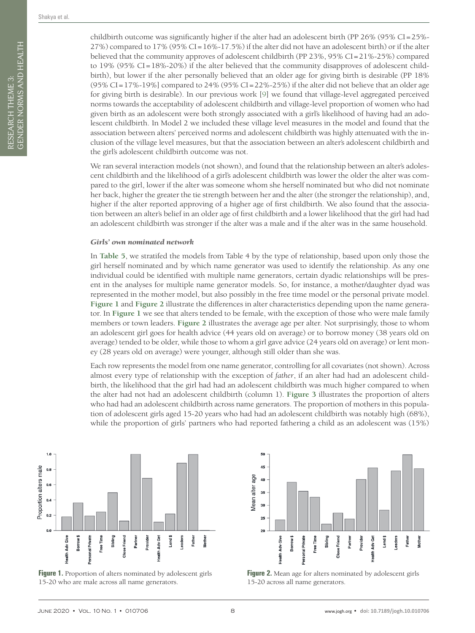childbirth outcome was significantly higher if the alter had an adolescent birth (PP 26% (95% CI=25%- 27%) compared to 17% (95% CI=16%-17.5%) if the alter did not have an adolescent birth) or if the alter believed that the community approves of adolescent childbirth (PP 23%, 95% CI=21%-25%) compared to  $19\%$  (95% CI=18%-20%) if the alter believed that the community disapproves of adolescent childbirth), but lower if the alter personally believed that an older age for giving birth is desirable (PP 18% (95% CI=17%-19%] compared to 24% (95% CI=22%-25%) if the alter did not believe that an older age for giving birth is desirable). In our previous work [[9\]](#page-11-8) we found that village-level aggregated perceived norms towards the acceptability of adolescent childbirth and village-level proportion of women who had given birth as an adolescent were both strongly associated with a girl's likelihood of having had an adolescent childbirth. In Model 2 we included these village level measures in the model and found that the association between alters' perceived norms and adolescent childbirth was highly attenuated with the inclusion of the village level measures, but that the association between an alter's adolescent childbirth and the girl's adolescent childbirth outcome was not.

We ran several interaction models (not shown), and found that the relationship between an alter's adolescent childbirth and the likelihood of a girl's adolescent childbirth was lower the older the alter was compared to the girl, lower if the alter was someone whom she herself nominated but who did not nominate her back, higher the greater the tie strength between her and the alter (the stronger the relationship), and, higher if the alter reported approving of a higher age of first childbirth. We also found that the association between an alter's belief in an older age of first childbirth and a lower likelihood that the girl had had an adolescent childbirth was stronger if the alter was a male and if the alter was in the same household.

#### *Girls' own nominated network*

In **[Table 5](#page-6-1)**, we stratifed the models from Table 4 by the type of relationship, based upon only those the girl herself nominated and by which name generator was used to identify the relationship. As any one individual could be identified with multiple name generators, certain dyadic relationships will be present in the analyses for multiple name generator models. So, for instance, a mother/daughter dyad was represented in the mother model, but also possibly in the free time model or the personal private model. **[Figure 1](#page-7-0)** and **[Figure 2](#page-7-1)** illustrate the differences in alter characteristics depending upon the name generator. In **[Figure 1](#page-7-0)** we see that alters tended to be female, with the exception of those who were male family members or town leaders. **[Figure 2](#page-7-1)** illustrates the average age per alter. Not surprisingly, those to whom an adolescent girl goes for health advice (44 years old on average) or to borrow money (38 years old on average) tended to be older, while those to whom a girl gave advice (24 years old on average) or lent money (28 years old on average) were younger, although still older than she was.

Each row represents the model from one name generator, controlling for all covariates (not shown). Across almost every type of relationship with the exception of *father*, if an alter had had an adolescent childbirth, the likelihood that the girl had had an adolescent childbirth was much higher compared to when the alter had not had an adolescent childbirth (column 1). **[Figure 3](#page-8-0)** illustrates the proportion of alters who had had an adolescent childbirth across name generators. The proportion of mothers in this population of adolescent girls aged 15-20 years who had had an adolescent childbirth was notably high (68%), while the proportion of girls' partners who had reported fathering a child as an adolescent was (15%)

<span id="page-7-0"></span>

**Figure 1.** Proportion of alters nominated by adolescent girls 15-20 who are male across all name generators.

<span id="page-7-1"></span>

**Figure 2.** Mean age for alters nominated by adolescent girls 15-20 across all name generators.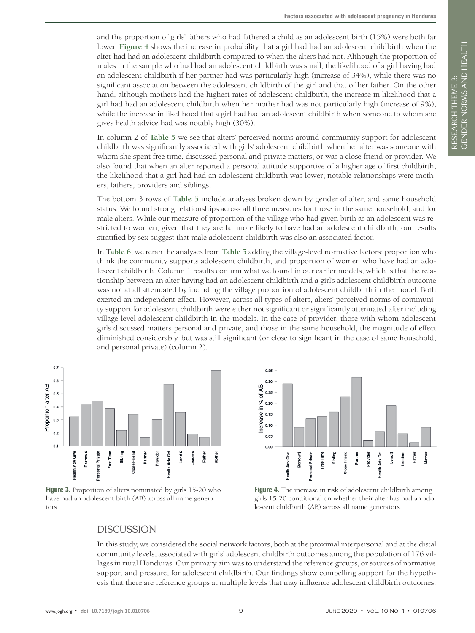and the proportion of girls' fathers who had fathered a child as an adolescent birth (15%) were both far lower. **[Figure 4](#page-8-1)** shows the increase in probability that a girl had had an adolescent childbirth when the alter had had an adolescent childbirth compared to when the alters had not. Although the proportion of males in the sample who had had an adolescent childbirth was small, the likelihood of a girl having had an adolescent childbirth if her partner had was particularly high (increase of 34%), while there was no significant association between the adolescent childbirth of the girl and that of her father. On the other hand, although mothers had the highest rates of adolescent childbirth, the increase in likelihood that a girl had had an adolescent childbirth when her mother had was not particularly high (increase of 9%), while the increase in likelihood that a girl had had an adolescent childbirth when someone to whom she gives health advice had was notably high (30%).

In column 2 of **[Table 5](#page-6-1)** we see that alters' perceived norms around community support for adolescent childbirth was significantly associated with girls' adolescent childbirth when her alter was someone with whom she spent free time, discussed personal and private matters, or was a close friend or provider. We also found that when an alter reported a personal attitude supportive of a higher age of first childbirth, the likelihood that a girl had had an adolescent childbirth was lower; notable relationships were mothers, fathers, providers and siblings.

The bottom 3 rows of **[Table 5](#page-6-1)** include analyses broken down by gender of alter, and same household status. We found strong relationships across all three measures for those in the same household, and for male alters. While our measure of proportion of the village who had given birth as an adolescent was restricted to women, given that they are far more likely to have had an adolescent childbirth, our results stratified by sex suggest that male adolescent childbirth was also an associated factor.

In **[Table 6](#page-6-2)**, we reran the analyses from **[Table 5](#page-6-1)** adding the village-level normative factors: proportion who think the community supports adolescent childbirth, and proportion of women who have had an adolescent childbirth. Column 1 results confirm what we found in our earlier models, which is that the relationship between an alter having had an adolescent childbirth and a girl's adolescent childbirth outcome was not at all attenuated by including the village proportion of adolescent childbirth in the model. Both exerted an independent effect. However, across all types of alters, alters' perceived norms of community support for adolescent childbirth were either not significant or significantly attenuated after including village-level adolescent childbirth in the models. In the case of provider, those with whom adolescent girls discussed matters personal and private, and those in the same household, the magnitude of effect diminished considerably, but was still significant (or close to significant in the case of same household, and personal private) (column 2).

<span id="page-8-0"></span>

**Figure 3.** Proportion of alters nominated by girls 15-20 who have had an adolescent birth (AB) across all name generators.

<span id="page-8-1"></span>

**Figure 4.** The increase in risk of adolescent childbirth among girls 15-20 conditional on whether their alter has had an adolescent childbirth (AB) across all name generators.

# DISCUSSION

In this study, we considered the social network factors, both at the proximal interpersonal and at the distal community levels, associated with girls' adolescent childbirth outcomes among the population of 176 villages in rural Honduras. Our primary aim was to understand the reference groups, or sources of normative support and pressure, for adolescent childbirth. Our findings show compelling support for the hypothesis that there are reference groups at multiple levels that may influence adolescent childbirth outcomes.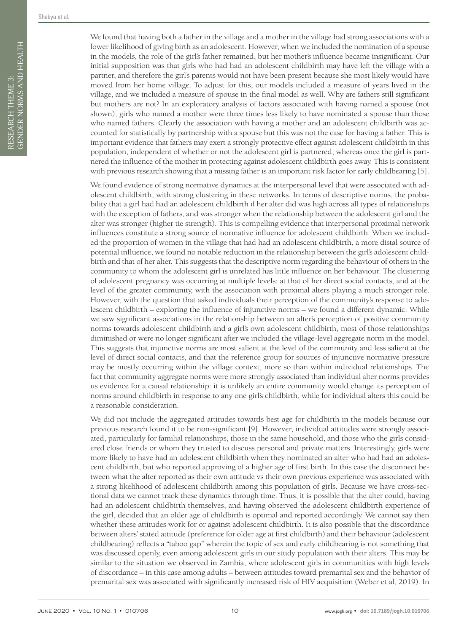We found that having both a father in the village and a mother in the village had strong associations with a lower likelihood of giving birth as an adolescent. However, when we included the nomination of a spouse in the models, the role of the girl's father remained, but her mother's influence became insignificant. Our initial supposition was that girls who had had an adolescent childbirth may have left the village with a partner, and therefore the girl's parents would not have been present because she most likely would have moved from her home village. To adjust for this, our models included a measure of years lived in the village, and we included a measure of spouse in the final model as well. Why are fathers still significant but mothers are not? In an exploratory analysis of factors associated with having named a spouse (not shown), girls who named a mother were three times less likely to have nominated a spouse than those who named fathers. Clearly the association with having a mother and an adolescent childbirth was accounted for statistically by partnership with a spouse but this was not the case for having a father. This is important evidence that fathers may exert a strongly protective effect against adolescent childbirth in this population, independent of whether or not the adolescent girl is partnered, whereas once the girl is partnered the influence of the mother in protecting against adolescent childbirth goes away. This is consistent with previous research showing that a missing father is an important risk factor for early childbearing [\[5](#page-11-4)].

We found evidence of strong normative dynamics at the interpersonal level that were associated with adolescent childbirth, with strong clustering in these networks. In terms of descriptive norms, the probability that a girl had had an adolescent childbirth if her alter did was high across all types of relationships with the exception of fathers, and was stronger when the relationship between the adolescent girl and the alter was stronger (higher tie strength). This is compelling evidence that interpersonal proximal network influences constitute a strong source of normative influence for adolescent childbirth. When we included the proportion of women in the village that had had an adolescent childbirth, a more distal source of potential influence, we found no notable reduction in the relationship between the girl's adolescent childbirth and that of her alter. This suggests that the descriptive norm regarding the behaviour of others in the community to whom the adolescent girl is unrelated has little influence on her behaviour. The clustering of adolescent pregnancy was occurring at multiple levels: at that of her direct social contacts, and at the level of the greater community, with the association with proximal alters playing a much stronger role. However, with the question that asked individuals their perception of the community's response to adolescent childbirth – exploring the influence of injunctive norms – we found a different dynamic. While we saw significant associations in the relationship between an alter's perception of positive community norms towards adolescent childbirth and a girl's own adolescent childbirth, most of those relationships diminished or were no longer significant after we included the village-level aggregate norm in the model. This suggests that injunctive norms are most salient at the level of the community and less salient at the level of direct social contacts, and that the reference group for sources of injunctive normative pressure may be mostly occurring within the village context, more so than within individual relationships. The fact that community aggregate norms were more strongly associated than individual alter norms provides us evidence for a causal relationship: it is unlikely an entire community would change its perception of norms around childbirth in response to any one girl's childbirth, while for individual alters this could be a reasonable consideration.

We did not include the aggregated attitudes towards best age for childbirth in the models because our previous research found it to be non-significant [[9](#page-11-8)]. However, individual attitudes were strongly associated, particularly for familial relationships, those in the same household, and those who the girls considered close friends or whom they trusted to discuss personal and private matters. Interestingly, girls were more likely to have had an adolescent childbirth when they nominated an alter who had had an adolescent childbirth, but who reported approving of a higher age of first birth. In this case the disconnect between what the alter reported as their own attitude vs their own previous experience was associated with a strong likelihood of adolescent childbirth among this population of girls. Because we have cross-sectional data we cannot track these dynamics through time. Thus, it is possible that the alter could, having had an adolescent childbirth themselves, and having observed the adolescent childbirth experience of the girl, decided that an older age of childbirth is optimal and reported accordingly. We cannot say then whether these attitudes work for or against adolescent childbirth. It is also possible that the discordance between alters' stated attitude (preference for older age at first childbirth) and their behaviour (adolescent childbearing) reflects a "taboo gap" wherein the topic of sex and early childbearing is not something that was discussed openly, even among adolescent girls in our study population with their alters. This may be similar to the situation we observed in Zambia, where adolescent girls in communities with high levels of discordance – in this case among adults – between attitudes toward premarital sex and the behavior of premarital sex was associated with significantly increased risk of HIV acquisition (Weber et al, 2019). In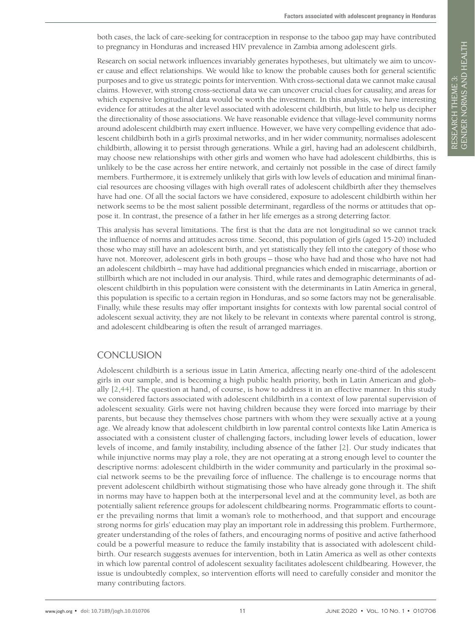both cases, the lack of care-seeking for contraception in response to the taboo gap may have contributed to pregnancy in Honduras and increased HIV prevalence in Zambia among adolescent girls.

Research on social network influences invariably generates hypotheses, but ultimately we aim to uncover cause and effect relationships. We would like to know the probable causes both for general scientific purposes and to give us strategic points for intervention. With cross-sectional data we cannot make causal claims. However, with strong cross-sectional data we can uncover crucial clues for causality, and areas for which expensive longitudinal data would be worth the investment. In this analysis, we have interesting evidence for attitudes at the alter level associated with adolescent childbirth, but little to help us decipher the directionality of those associations. We have reasonable evidence that village-level community norms around adolescent childbirth may exert influence. However, we have very compelling evidence that adolescent childbirth both in a girl's proximal networks, and in her wider community, normalises adolescent childbirth, allowing it to persist through generations. While a girl, having had an adolescent childbirth, may choose new relationships with other girls and women who have had adolescent childbirths, this is unlikely to be the case across her entire network, and certainly not possible in the case of direct family members. Furthermore, it is extremely unlikely that girls with low levels of education and minimal financial resources are choosing villages with high overall rates of adolescent childbirth after they themselves have had one. Of all the social factors we have considered, exposure to adolescent childbirth within her network seems to be the most salient possible determinant, regardless of the norms or attitudes that oppose it. In contrast, the presence of a father in her life emerges as a strong deterring factor.

This analysis has several limitations. The first is that the data are not longitudinal so we cannot track the influence of norms and attitudes across time. Second, this population of girls (aged 15-20) included those who may still have an adolescent birth, and yet statistically they fell into the category of those who have not. Moreover, adolescent girls in both groups – those who have had and those who have not had an adolescent childbirth – may have had additional pregnancies which ended in miscarriage, abortion or stillbirth which are not included in our analysis. Third, while rates and demographic determinants of adolescent childbirth in this population were consistent with the determinants in Latin America in general, this population is specific to a certain region in Honduras, and so some factors may not be generalisable. Finally, while these results may offer important insights for contexts with low parental social control of adolescent sexual activity, they are not likely to be relevant in contexts where parental control is strong, and adolescent childbearing is often the result of arranged marriages.

# **CONCLUSION**

Adolescent childbirth is a serious issue in Latin America, affecting nearly one-third of the adolescent girls in our sample, and is becoming a high public health priority, both in Latin American and globally [\[2](#page-11-1),[44](#page-12-23)]. The question at hand, of course, is how to address it in an effective manner. In this study we considered factors associated with adolescent childbirth in a context of low parental supervision of adolescent sexuality. Girls were not having children because they were forced into marriage by their parents, but because they themselves chose partners with whom they were sexually active at a young age. We already know that adolescent childbirth in low parental control contexts like Latin America is associated with a consistent cluster of challenging factors, including lower levels of education, lower levels of income, and family instability, including absence of the father [[2](#page-11-1)]. Our study indicates that while injunctive norms may play a role, they are not operating at a strong enough level to counter the descriptive norms: adolescent childbirth in the wider community and particularly in the proximal social network seems to be the prevailing force of influence. The challenge is to encourage norms that prevent adolescent childbirth without stigmatising those who have already gone through it. The shift in norms may have to happen both at the interpersonal level and at the community level, as both are potentially salient reference groups for adolescent childbearing norms. Programmatic efforts to counter the prevailing norms that limit a woman's role to motherhood, and that support and encourage strong norms for girls' education may play an important role in addressing this problem. Furthermore, greater understanding of the roles of fathers, and encouraging norms of positive and active fatherhood could be a powerful measure to reduce the family instability that is associated with adolescent childbirth. Our research suggests avenues for intervention, both in Latin America as well as other contexts in which low parental control of adolescent sexuality facilitates adolescent childbearing. However, the issue is undoubtedly complex, so intervention efforts will need to carefully consider and monitor the many contributing factors.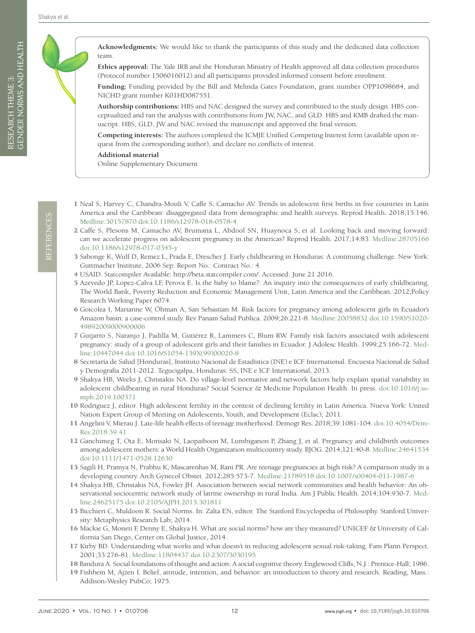**REFERENCES** REFERENCES

**Acknowledgments:** We would like to thank the participants of this study and the dedicated data collection team.

**Ethics approval:** The Yale IRB and the Honduran Ministry of Health approved all data collection procedures (Protocol number 1506016012) and all participants provided informed consent before enrolment.

**Funding:** Funding provided by the Bill and Melinda Gates Foundation, grant number OPP1098684, and NICHD grant number K01HD087551.

**Authorship contributions:** HBS and NAC designed the survey and contributed to the study design. HBS conceptualized and ran the analysis with contributions from JW, NAC, and GLD. HBS and KMB drafted the manuscript. HBS, GLD, JW and NAC revised the manuscript and approved the final version.

**Competing interests:** The authors completed the ICMJE Unified Competing Interest form (available upon request from the corresponding author), and declare no conflicts of interest.

<span id="page-11-17"></span>**Additional material**

[Online Supplementary Document](http://jogh.org/documents/issue202001/jogh-10-010706-s001.pdf)

- <span id="page-11-0"></span> 1 Neal S, Harvey C, Chandra-Mouli V, Caffe S, Camacho AV. Trends in adolescent first births in five countries in Latin America and the Caribbean: disaggregated data from demographic and health surveys. Reprod Health. 2018;15:146. [Medline:30157870](https://www.ncbi.nlm.nih.gov/entrez/query.fcgi?cmd=Retrieve&db=PubMed&list_uids=30157870&dopt=Abstract) [doi:10.1186/s12978-018-0578-4](https://doi.org/10.1186/s12978-018-0578-4)
- <span id="page-11-1"></span> 2 Caffe S, Plesons M, Camacho AV, Brumana L, Abdool SN, Huaynoca S, et al. Looking back and moving forward: can we accelerate progress on adolescent pregnancy in the Americas? Reprod Health. 2017;14:83. [Medline:28705166](https://www.ncbi.nlm.nih.gov/entrez/query.fcgi?cmd=Retrieve&db=PubMed&list_uids=28705166&dopt=Abstract) [doi:10.1186/s12978-017-0345-y](https://doi.org/10.1186/s12978-017-0345-y)
- <span id="page-11-2"></span> 3 Sabonge K, Wulf D, Remez L, Prada E, Drescher J. Early childbearing in Honduras: A continuing challenge. New York: Guttmacher Institute, 2006 Sep. Report No.: Contract No.: 4.
- <span id="page-11-3"></span>4 USAID. Statcompiler Available: http://beta.statcompiler.com/. Accessed: June 21 2016.
- <span id="page-11-4"></span> 5 Azevedo JP, Lopez-Calva LF, Perova E. Is the baby to blame?: An inquiry into the consequences of early childbearing. The World Bank, Poverty Reduction and Economic Management Unit, Latin America and the Caribbean. 2012;Policy Research Working Paper 6074.
- <span id="page-11-5"></span> 6 Goicolea I, Marianne W, Öhman A, San Sebastian M. Risk factors for pregnancy among adolescent girls in Ecuador's Amazon basin: a case-control study. Rev Panam Salud Publica. 2009;26:221-8. [Medline:20058832](https://www.ncbi.nlm.nih.gov/entrez/query.fcgi?cmd=Retrieve&db=PubMed&list_uids=20058832&dopt=Abstract) [doi:10.1590/S1020-](https://doi.org/10.1590/S1020-49892009000900006) [49892009000900006](https://doi.org/10.1590/S1020-49892009000900006)
- <span id="page-11-6"></span> 7 Guijarro S, Naranjo J, Padilla M, Gutiérez R, Lammers C, Blum RW. Family risk factors associated with adolescent pregnancy: study of a group of adolescent girls and their families in Ecuador. J Adolesc Health. 1999;25:166-72[. Med](https://www.ncbi.nlm.nih.gov/entrez/query.fcgi?cmd=Retrieve&db=PubMed&list_uids=10447044&dopt=Abstract)[line:10447044](https://www.ncbi.nlm.nih.gov/entrez/query.fcgi?cmd=Retrieve&db=PubMed&list_uids=10447044&dopt=Abstract) [doi:10.1016/S1054-139X\(99\)00020-8](https://doi.org/10.1016/S1054-139X(99)00020-8)
- <span id="page-11-7"></span> 8 Secretaría de Salud [Honduras], Instituto Nacional de Estadística (INE) e ICF International. Encuesta Nacional de Salud y Demografía 2011-2012. Tegucigalpa, Honduras: SS, INE e ICF International, 2013.
- <span id="page-11-8"></span> 9 Shakya HB, Weeks J, Christakis NA. Do village-level normative and network factors help explain spatial variability in adolescent childbearing in rural Honduras? Social Science & Medicine Population Health. In press. [doi:10.1016/j.ss](https://doi.org/10.1016/j.ssmph.2019.100371)[mph.2019.100371](https://doi.org/10.1016/j.ssmph.2019.100371)
- <span id="page-11-9"></span>10 Rodríguez J, editor. High adolescent fertility in the context of declining fertility in Latin America. Nueva York: United Nation Expert Group of Meeting on Adolescents, Youth, and Development (Eclac); 2011.
- <span id="page-11-10"></span>11 Angelini V, Mierau J. Late-life health effects of teenage motherhood. Demogr Res. 2018;39:1081-104. [doi:10.4054/Dem](https://doi.org/10.4054/DemRes.2018.39.41)-[Res.2018.39.41](https://doi.org/10.4054/DemRes.2018.39.41)
- 12 Ganchimeg T, Ota E, Morisaki N, Laopaiboon M, Lumbiganon P, Zhang J, et al. Pregnancy and childbirth outcomes among adolescent mothers: a World Health Organization multicountry study. BJOG. 2014;121:40-8. [Medline:24641534](https://www.ncbi.nlm.nih.gov/entrez/query.fcgi?cmd=Retrieve&db=PubMed&list_uids=24641534&dopt=Abstract) [doi:10.1111/1471-0528.12630](https://doi.org/10.1111/1471-0528.12630)
- <span id="page-11-11"></span>13 Sagili H, Pramya N, Prabhu K, Mascarenhas M, Rani PR. Are teenage pregnancies at high risk? A comparison study in a developing country. Arch Gynecol Obstet. 2012;285:573-7. [Medline:21789518](https://www.ncbi.nlm.nih.gov/entrez/query.fcgi?cmd=Retrieve&db=PubMed&list_uids=21789518&dopt=Abstract) [doi:10.1007/s00404-011-1987-6](https://doi.org/10.1007/s00404-011-1987-6)
- <span id="page-11-12"></span>14 Shakya HB, Christakis NA, Fowler JH. Association between social network communities and health behavior: An observational sociocentric network study of latrine ownership in rural India. Am J Public Health. 2014;104:930-7[. Med](https://www.ncbi.nlm.nih.gov/entrez/query.fcgi?cmd=Retrieve&db=PubMed&list_uids=24625175&dopt=Abstract)[line:24625175](https://www.ncbi.nlm.nih.gov/entrez/query.fcgi?cmd=Retrieve&db=PubMed&list_uids=24625175&dopt=Abstract) [doi:10.2105/AJPH.2013.301811](https://doi.org/10.2105/AJPH.2013.301811)
- <span id="page-11-13"></span>15 Bicchieri C, Muldoon R. Social Norms. In: Zalta EN, editor. The Stanford Encyclopedia of Philosophy. Stanford University: Metaphysics Research Lab; 2014.
- <span id="page-11-14"></span>16 Mackie G, Moneti F, Denny E, Shakya H. What are social norms? how are they measured? UNICEF & University of California San Diego, Center on Global Justice, 2014.
- <span id="page-11-15"></span>17 Kirby BD. Understanding what works and what doesn't in reducing adolescent sexual risk-taking. Fam Plann Perspect. 2001;33:276-81. [Medline:11804437](https://www.ncbi.nlm.nih.gov/entrez/query.fcgi?cmd=Retrieve&db=PubMed&list_uids=11804437&dopt=Abstract) [doi:10.2307/3030195](https://doi.org/10.2307/3030195)
- 18 Bandura A. Social foundations of thought and action: A social cognitive theory. Englewood Cliffs, N.J.: Prentice-Hall; 1986.
- <span id="page-11-16"></span>19 Fishbein M, Ajzen I. Belief, attitude, intention, and behavior: an introduction to theory and research. Reading, Mass.: Addison-Wesley PubCo; 1975.